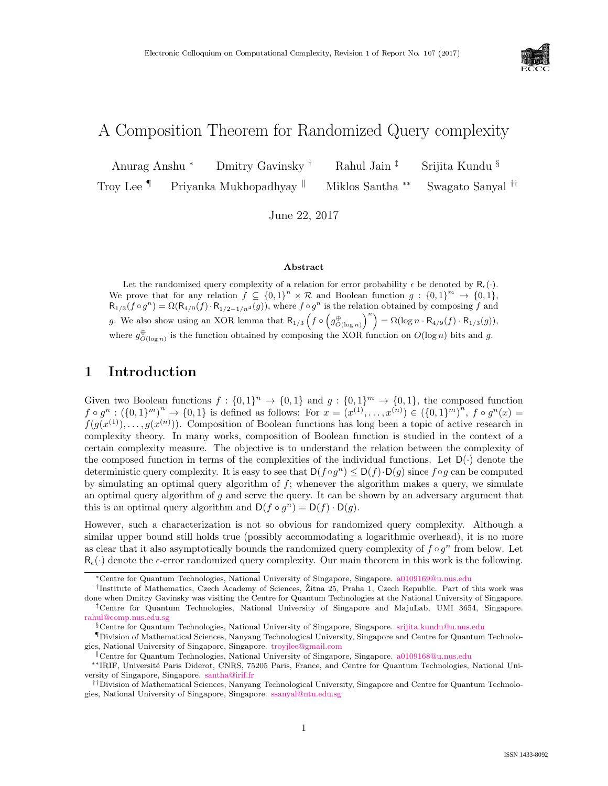

# A Composition Theorem for Randomized Query complexity

Anurag Anshu <sup>∗</sup> Dmitry Gavinsky † Rahul Jain ‡ Srijita Kundu § Troy Lee <sup>¶</sup> Priyanka Mukhopadhyay <sup>||</sup> Miklos Santha <sup>∗∗</sup> Swagato Sanyal <sup>††</sup>

June 22, 2017

#### Abstract

Let the randomized query complexity of a relation for error probability  $\epsilon$  be denoted by  $R_{\epsilon}(\cdot)$ . We prove that for any relation  $f \subseteq \{0,1\}^n \times \mathcal{R}$  and Boolean function  $g : \{0,1\}^m \to \{0,1\}$ ,  $R_{1/3}(f\circ g^n) = \Omega(R_{4/9}(f)\cdot R_{1/2-1/n^4}(g))$ , where  $f\circ g^n$  is the relation obtained by composing f and g. We also show using an XOR lemma that  $R_{1/3}$   $\left(f \circ \left(g_{O(\log n)}^{\oplus}\right)^n\right) = \Omega(\log n \cdot R_{4/9}(f) \cdot R_{1/3}(g)),$ where  $g^{\oplus}_{O(\log n)}$  is the function obtained by composing the XOR function on  $O(\log n)$  bits and g.

### 1 Introduction

Given two Boolean functions  $f: \{0,1\}^n \to \{0,1\}$  and  $g: \{0,1\}^m \to \{0,1\}$ , the composed function  $f \circ g^n : (\{0,1\}^m)^n \to \{0,1\}$  is defined as follows: For  $x = (x^{(1)}, \ldots, x^{(n)}) \in (\{0,1\}^m)^n$ ,  $f \circ g^n(x) =$  $f(g(x^{(1)}), \ldots, g(x^{(n)}))$ . Composition of Boolean functions has long been a topic of active research in complexity theory. In many works, composition of Boolean function is studied in the context of a certain complexity measure. The objective is to understand the relation between the complexity of the composed function in terms of the complexities of the individual functions. Let  $D(\cdot)$  denote the deterministic query complexity. It is easy to see that  $D(f \circ g^n) \leq D(f) \cdot D(g)$  since  $f \circ g$  can be computed by simulating an optimal query algorithm of  $f$ ; whenever the algorithm makes a query, we simulate an optimal query algorithm of  $g$  and serve the query. It can be shown by an adversary argument that this is an optimal query algorithm and  $D(f \circ g^n) = D(f) \cdot D(g)$ .

However, such a characterization is not so obvious for randomized query complexity. Although a similar upper bound still holds true (possibly accommodating a logarithmic overhead), it is no more as clear that it also asymptotically bounds the randomized query complexity of  $f \circ g^n$  from below. Let  $R_{\epsilon}(\cdot)$  denote the  $\epsilon$ -error randomized query complexity. Our main theorem in this work is the following.

<sup>∗</sup>Centre for Quantum Technologies, National University of Singapore, Singapore. [a0109169@u.nus.edu](mailto:a0109169@u.nus.edu)

<sup>&</sup>lt;sup>†</sup>Institute of Mathematics, Czech Academy of Sciences, Žitna 25, Praha 1, Czech Republic. Part of this work was done when Dmitry Gavinsky was visiting the Centre for Quantum Technologies at the National University of Singapore. ‡Centre for Quantum Technologies, National University of Singapore and MajuLab, UMI 3654, Singapore. [rahul@comp.nus.edu.sg](mailto:rahul@comp.nus.edu.sg)

<sup>§</sup>Centre for Quantum Technologies, National University of Singapore, Singapore. [srijita.kundu@u.nus.edu](mailto:srijita.kundu@u.nus.edu)

<sup>¶</sup>Division of Mathematical Sciences, Nanyang Technological University, Singapore and Centre for Quantum Technologies, National University of Singapore, Singapore. [troyjlee@gmail.com](mailto:troyjlee@gmail.com)

<sup>k</sup>Centre for Quantum Technologies, National University of Singapore, Singapore. [a0109168@u.nus.edu](mailto:a0109168@u.nus.edu)

<sup>∗∗</sup>IRIF, Universit´e Paris Diderot, CNRS, 75205 Paris, France, and Centre for Quantum Technologies, National University of Singapore, Singapore. [santha@irif.fr](mailto:santha@irif.fr)

<sup>††</sup>Division of Mathematical Sciences, Nanyang Technological University, Singapore and Centre for Quantum Technologies, National University of Singapore, Singapore. [ssanyal@ntu.edu.sg](mailto:ssanyal@ntu.edu.sg)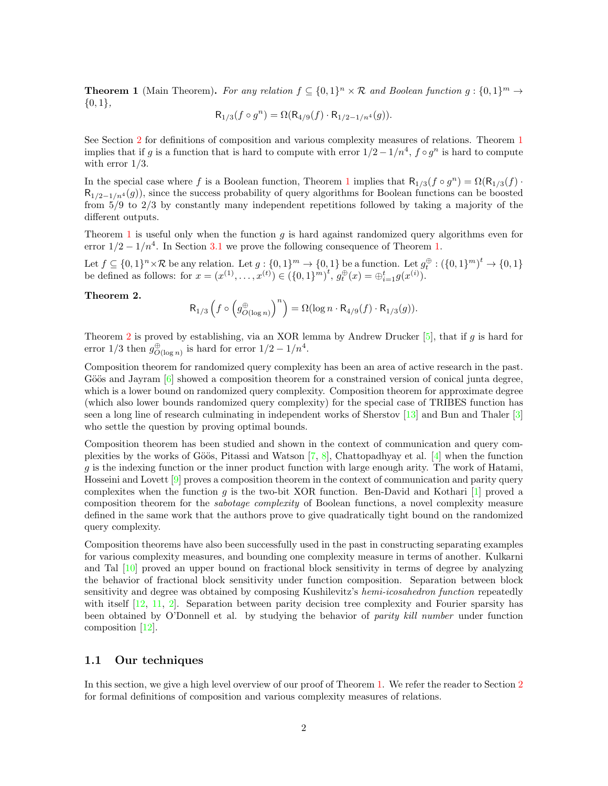<span id="page-1-0"></span>**Theorem 1** (Main Theorem). For any relation  $f \subseteq \{0,1\}^n \times \mathcal{R}$  and Boolean function  $g : \{0,1\}^m \to$  $\{0,1\},\$ 

$$
R_{1/3}(f \circ g^n) = \Omega(R_{4/9}(f) \cdot R_{1/2 - 1/n^4}(g)).
$$

See Section [2](#page-3-0) for definitions of composition and various complexity measures of relations. Theorem [1](#page-1-0) implies that if g is a function that is hard to compute with error  $1/2 - 1/n^4$ ,  $f \circ g^n$  is hard to compute with error  $1/3$ .

In the special case where f is a Boolean function, Theorem [1](#page-1-0) implies that  $R_{1/3}(f \circ g^n) = \Omega(R_{1/3}(f))$ .  $R_{1/2-1/n^4}(q)$ , since the success probability of query algorithms for Boolean functions can be boosted from 5/9 to 2/3 by constantly many independent repetitions followed by taking a majority of the different outputs.

Theorem [1](#page-1-0) is useful only when the function  $g$  is hard against randomized query algorithms even for error  $1/2 - 1/n^4$ . In Section [3.1](#page-9-0) we prove the following consequence of Theorem [1.](#page-1-0)

Let  $f \subseteq \{0,1\}^n \times \mathcal{R}$  be any relation. Let  $g: \{0,1\}^m \to \{0,1\}$  be a function. Let  $g_t^{\oplus}: (\{0,1\}^m)^t \to \{0,1\}$ be defined as follows: for  $x = (x^{(1)}, \ldots, x^{(t)}) \in (\{0, 1\}^m)^t$ ,  $g_t^{\oplus}(x) = \bigoplus_{i=1}^t g(x^{(i)})$ .

#### <span id="page-1-1"></span>Theorem 2.

$$
\mathsf{R}_{1/3}\left(f \circ \left(g_{O(\log n)}^{\oplus}\right)^n\right) = \Omega(\log n \cdot \mathsf{R}_{4/9}(f) \cdot \mathsf{R}_{1/3}(g)).
$$

Theorem [2](#page-1-1) is proved by establishing, via an XOR lemma by Andrew Drucker  $[5]$ , that if g is hard for error  $1/3$  then  $g^{\oplus}_{O(\log n)}$  is hard for error  $1/2 - 1/n^4$ .

Composition theorem for randomized query complexity has been an area of active research in the past. Göös and Jayram  $\lceil 6 \rceil$  showed a composition theorem for a constrained version of conical junta degree, which is a lower bound on randomized query complexity. Composition theorem for approximate degree (which also lower bounds randomized query complexity) for the special case of TRIBES function has seen a long line of research culminating in independent works of Sherstov [\[13\]](#page--1-0) and Bun and Thaler [\[3\]](#page-10-2) who settle the question by proving optimal bounds.

Composition theorem has been studied and shown in the context of communication and query complexities by the works of Göös, Pitassi and Watson  $[7, 8]$  $[7, 8]$  $[7, 8]$ , Chattopadhyay et al.  $[4]$  when the function  $g$  is the indexing function or the inner product function with large enough arity. The work of Hatami, Hosseini and Lovett [\[9\]](#page--1-2) proves a composition theorem in the context of communication and parity query complexites when the function  $g$  is the two-bit XOR function. Ben-David and Kothari  $[1]$  proved a composition theorem for the sabotage complexity of Boolean functions, a novel complexity measure defined in the same work that the authors prove to give quadratically tight bound on the randomized query complexity.

Composition theorems have also been successfully used in the past in constructing separating examples for various complexity measures, and bounding one complexity measure in terms of another. Kulkarni and Tal [\[10\]](#page--1-3) proved an upper bound on fractional block sensitivity in terms of degree by analyzing the behavior of fractional block sensitivity under function composition. Separation between block sensitivity and degree was obtained by composing Kushilevitz's hemi-icosahedron function repeatedly with itself  $[12, 11, 2]$  $[12, 11, 2]$  $[12, 11, 2]$  $[12, 11, 2]$  $[12, 11, 2]$ . Separation between parity decision tree complexity and Fourier sparsity has been obtained by O'Donnell et al. by studying the behavior of parity kill number under function composition [\[12\]](#page--1-4).

#### <span id="page-1-2"></span>1.1 Our techniques

In this section, we give a high level overview of our proof of Theorem [1.](#page-1-0) We refer the reader to Section [2](#page-3-0) for formal definitions of composition and various complexity measures of relations.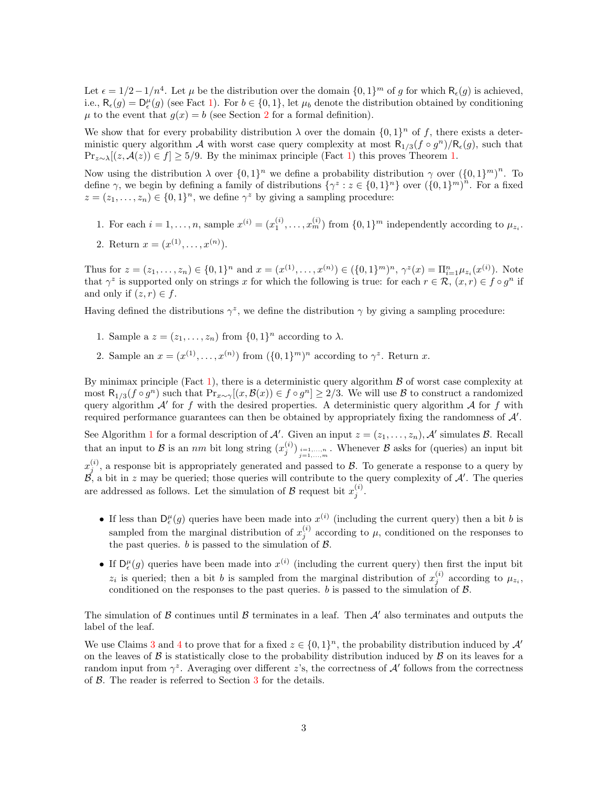Let  $\epsilon = 1/2 - 1/n^4$ . Let  $\mu$  be the distribution over the domain  $\{0, 1\}^m$  of g for which  $\mathsf{R}_{\epsilon}(g)$  is achieved, i.e.,  $\mathsf{R}_{\epsilon}(g) = \mathsf{D}_{\epsilon}^{\mu}(g)$  (see Fact [1\)](#page-3-1). For  $b \in \{0,1\}$ , let  $\mu_b$  denote the distribution obtained by conditioning  $\mu$  to the event that  $g(x) = b$  (see Section [2](#page-3-0) for a formal definition).

We show that for every probability distribution  $\lambda$  over the domain  $\{0,1\}^n$  of f, there exists a deterministic query algorithm A with worst case query complexity at most  $R_{1/3}(f \circ g^n)/R_{\epsilon}(g)$ , such that  $\Pr_{z \sim \lambda}[(z, \mathcal{A}(z)) \in f] \ge 5/9$ . By the minimax principle (Fact [1\)](#page-3-1) this proves Theorem [1.](#page-1-0)

Now using the distribution  $\lambda$  over  $\{0,1\}^n$  we define a probability distribution  $\gamma$  over  $(\{0,1\}^m)^n$ . To define  $\gamma$ , we begin by defining a family of distributions  $\{\gamma^z : z \in \{0,1\}^n\}$  over  $(\{0,1\}^m)^n$ . For a fixed  $z = (z_1, \ldots, z_n) \in \{0, 1\}^n$ , we define  $\gamma^z$  by giving a sampling procedure:

1. For each  $i = 1, ..., n$ , sample  $x^{(i)} = (x_1^{(i)}, ..., x_m^{(i)})$  from  $\{0, 1\}^m$  independently according to  $\mu_{z_i}$ .

2. Return 
$$
x = (x^{(1)}, \ldots, x^{(n)})
$$
.

Thus for  $z = (z_1, \ldots, z_n) \in \{0, 1\}^n$  and  $x = (x^{(1)}, \ldots, x^{(n)}) \in (\{0, 1\}^m)^n$ ,  $\gamma^z(x) = \prod_{i=1}^n \mu_{z_i}(x^{(i)})$ . Note that  $\gamma^z$  is supported only on strings x for which the following is true: for each  $r \in \mathcal{R}$ ,  $(x, r) \in f \circ g^n$  if and only if  $(z, r) \in f$ .

Having defined the distributions  $\gamma^z$ , we define the distribution  $\gamma$  by giving a sampling procedure:

- 1. Sample a  $z = (z_1, \ldots, z_n)$  from  $\{0, 1\}^n$  according to  $\lambda$ .
- 2. Sample an  $x = (x^{(1)}, \ldots, x^{(n)})$  from  $(\{0,1\}^m)^n$  according to  $\gamma^z$ . Return x.

By minimax principle (Fact [1\)](#page-3-1), there is a deterministic query algorithm  $\beta$  of worst case complexity at most  $\mathsf{R}_{1/3}(f \circ g^n)$  such that  $\Pr_{x \sim \gamma}[(x, \mathcal{B}(x)) \in f \circ g^n] \ge 2/3$ . We will use  $\mathcal B$  to construct a randomized query algorithm  $A'$  for f with the desired properties. A deterministic query algorithm  $A$  for f with required performance guarantees can then be obtained by appropriately fixing the randomness of  $\mathcal{A}'$ .

See Algorithm [1](#page-7-0) for a formal description of A'. Given an input  $z = (z_1, \ldots, z_n)$ , A' simulates B. Recall that an input to B is an nm bit long string  $(x_j^{(i)})_{\substack{i=1,...,n\\j=1,...,m}}$ . Whenever B asks for (queries) an input bit

 $x_j^{(i)}$ , a response bit is appropriately generated and passed to  $\mathcal{B}$ . To generate a response to a query by  $\mathcal{B}$ , a bit in z may be queried; those queries will contribute to the query complexity of  $\mathcal{A}'$ . The queries are addressed as follows. Let the simulation of  $\mathcal{B}$  request bit  $x_j^{(i)}$ .

- If less than  $D_{\epsilon}^{\mu}(g)$  queries have been made into  $x^{(i)}$  (including the current query) then a bit b is sampled from the marginal distribution of  $x_j^{(i)}$  according to  $\mu$ , conditioned on the responses to the past queries. b is passed to the simulation of  $\beta$ .
- If  $D_{\epsilon}^{\mu}(g)$  queries have been made into  $x^{(i)}$  (including the current query) then first the input bit  $z_i$  is queried; then a bit b is sampled from the marginal distribution of  $x_j^{(i)}$  according to  $\mu_{z_i}$ , conditioned on the responses to the past queries. b is passed to the simulation of  $\mathcal{B}$ .

The simulation of B continues until B terminates in a leaf. Then  $\mathcal{A}'$  also terminates and outputs the label of the leaf.

We use Claims [3](#page-4-0) and [4](#page-5-0) to prove that for a fixed  $z \in \{0,1\}^n$ , the probability distribution induced by  $\mathcal{A}'$ on the leaves of  $\beta$  is statistically close to the probability distribution induced by  $\beta$  on its leaves for a random input from  $\gamma^z$ . Averaging over different z's, the correctness of A' follows from the correctness of B. The reader is referred to Section [3](#page-6-0) for the details.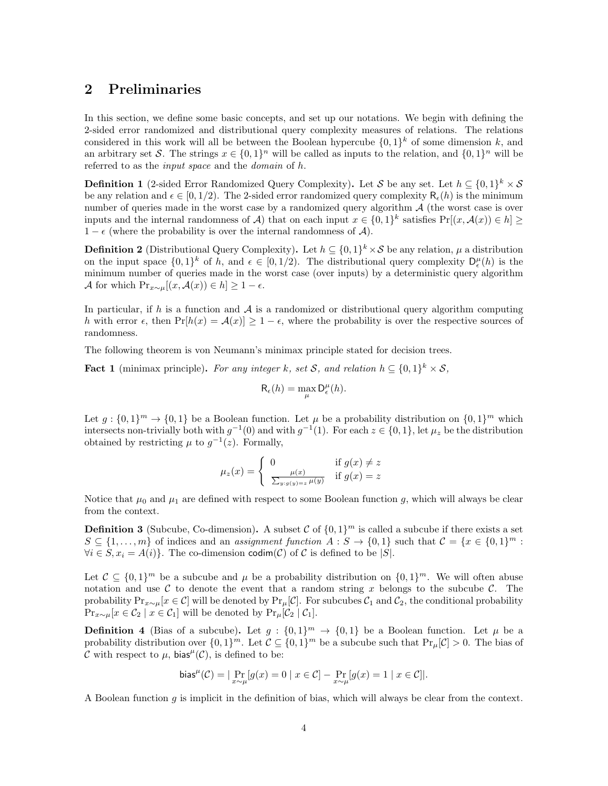# <span id="page-3-0"></span>2 Preliminaries

In this section, we define some basic concepts, and set up our notations. We begin with defining the 2-sided error randomized and distributional query complexity measures of relations. The relations considered in this work will all be between the Boolean hypercube  $\{0,1\}^k$  of some dimension k, and an arbitrary set S. The strings  $x \in \{0,1\}^n$  will be called as inputs to the relation, and  $\{0,1\}^n$  will be referred to as the input space and the domain of h.

**Definition 1** (2-sided Error Randomized Query Complexity). Let S be any set. Let  $h \subseteq \{0,1\}^k \times S$ be any relation and  $\epsilon \in [0, 1/2)$ . The 2-sided error randomized query complexity  $R_{\epsilon}(h)$  is the minimum number of queries made in the worst case by a randomized query algorithm  $A$  (the worst case is over inputs and the internal randomness of A) that on each input  $x \in \{0,1\}^k$  satisfies  $Pr[(x, \mathcal{A}(x)) \in h] \ge$  $1 - \epsilon$  (where the probability is over the internal randomness of A).

**Definition 2** (Distributional Query Complexity). Let  $h \subseteq \{0,1\}^k \times S$  be any relation,  $\mu$  a distribution on the input space  $\{0,1\}^k$  of h, and  $\epsilon \in [0,1/2)$ . The distributional query complexity  $D_{\epsilon}^{\mu}(h)$  is the minimum number of queries made in the worst case (over inputs) by a deterministic query algorithm A for which  $Pr_{x \sim \mu}[(x, \mathcal{A}(x)) \in h] \geq 1 - \epsilon$ .

In particular, if  $h$  is a function and  $A$  is a randomized or distributional query algorithm computing h with error  $\epsilon$ , then  $Pr[h(x) = A(x)] \ge 1 - \epsilon$ , where the probability is over the respective sources of randomness.

The following theorem is von Neumann's minimax principle stated for decision trees.

<span id="page-3-1"></span>**Fact 1** (minimax principle). For any integer k, set S, and relation  $h \subseteq \{0,1\}^k \times S$ ,

$$
R_{\epsilon}(h) = \max_{\mu} D_{\epsilon}^{\mu}(h).
$$

Let  $g: \{0,1\}^m \to \{0,1\}$  be a Boolean function. Let  $\mu$  be a probability distribution on  $\{0,1\}^m$  which intersects non-trivially both with  $g^{-1}(0)$  and with  $g^{-1}(1)$ . For each  $z \in \{0,1\}$ , let  $\mu_z$  be the distribution obtained by restricting  $\mu$  to  $g^{-1}(z)$ . Formally,

$$
\mu_z(x) = \begin{cases} 0 & \text{if } g(x) \neq z \\ \frac{\mu(x)}{\sum_{y:g(y)=z} \mu(y)} & \text{if } g(x) = z \end{cases}
$$

Notice that  $\mu_0$  and  $\mu_1$  are defined with respect to some Boolean function g, which will always be clear from the context.

**Definition 3** (Subcube, Co-dimension). A subset C of  $\{0,1\}^m$  is called a subcube if there exists a set  $S \subseteq \{1, \ldots, m\}$  of indices and an *assignment function*  $A : S \to \{0, 1\}$  such that  $C = \{x \in \{0, 1\}^m :$  $\forall i \in S, x_i = A(i)$ . The co-dimension codim(C) of C is defined to be |S|.

Let  $\mathcal{C} \subseteq \{0,1\}^m$  be a subcube and  $\mu$  be a probability distribution on  $\{0,1\}^m$ . We will often abuse notation and use  $\mathcal C$  to denote the event that a random string x belongs to the subcube  $\mathcal C$ . The probability  $Pr_{x\sim \mu}[x \in \mathcal{C}]$  will be denoted by  $Pr_{\mu}[\mathcal{C}]$ . For subcubes  $\mathcal{C}_1$  and  $\mathcal{C}_2$ , the conditional probability  $Pr_{x \sim \mu}[x \in \mathcal{C}_2 \mid x \in \mathcal{C}_1]$  will be denoted by  $Pr_{\mu}[\mathcal{C}_2 \mid \mathcal{C}_1]$ .

**Definition 4** (Bias of a subcube). Let  $g: \{0,1\}^m \to \{0,1\}$  be a Boolean function. Let  $\mu$  be a probability distribution over  $\{0,1\}^m$ . Let  $\mathcal{C} \subseteq \{0,1\}^m$  be a subcube such that  $\Pr_{\mu}[\mathcal{C}] > 0$ . The bias of C with respect to  $\mu$ , bias<sup> $\mu$ </sup>(C), is defined to be:

$$
\mathrm{bias}^\mu(\mathcal{C}) = |\Pr_{x \sim \mu}[g(x) = 0 \mid x \in \mathcal{C}] - \Pr_{x \sim \mu}[g(x) = 1 \mid x \in \mathcal{C}]|.
$$

A Boolean function g is implicit in the definition of bias, which will always be clear from the context.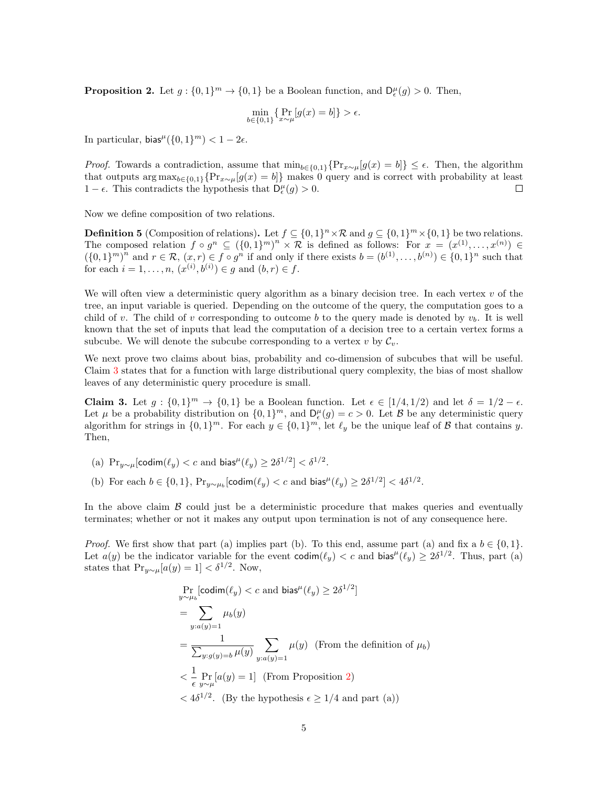<span id="page-4-1"></span>**Proposition 2.** Let  $g: \{0,1\}^m \to \{0,1\}$  be a Boolean function, and  $D_{\epsilon}^{\mu}(g) > 0$ . Then,

$$
\min_{b \in \{0,1\}} \{ \Pr_{x \sim \mu}[g(x) = b] \} > \epsilon.
$$

In particular,  $bias^{\mu}(\{0,1\}^m) < 1-2\epsilon$ .

*Proof.* Towards a contradiction, assume that  $\min_{b \in \{0,1\}} \{Pr_{x \sim \mu}[g(x) = b]\} \leq \epsilon$ . Then, the algorithm that outputs  $\arg \max_{b \in \{0,1\}} \{Pr_{x \sim \mu}[g(x) = b]\}$  makes 0 query and is correct with probability at least 1 −  $\epsilon$ . This contradicts the hypothesis that  $D_{\epsilon}^{\mu}(g) > 0$ . □

Now we define composition of two relations.

**Definition 5** (Composition of relations). Let  $f \subseteq \{0,1\}^n \times \mathcal{R}$  and  $g \subseteq \{0,1\}^m \times \{0,1\}$  be two relations. The composed relation  $f \circ g^n \subseteq (\{0,1\}^m)^n \times \mathcal{R}$  is defined as follows: For  $x = (x^{(1)}, \ldots, x^{(n)}) \in$  $(\{0,1\}^m)^n$  and  $r \in \mathcal{R}, (x,r) \in f \circ g^n$  if and only if there exists  $b = (b^{(1)}, \ldots, b^{(n)}) \in \{0,1\}^n$  such that for each  $i = 1, ..., n, (x^{(i)}, b^{(i)}) \in g$  and  $(b, r) \in f$ .

We will often view a deterministic query algorithm as a binary decision tree. In each vertex  $v$  of the tree, an input variable is queried. Depending on the outcome of the query, the computation goes to a child of v. The child of v corresponding to outcome b to the query made is denoted by  $v<sub>b</sub>$ . It is well known that the set of inputs that lead the computation of a decision tree to a certain vertex forms a subcube. We will denote the subcube corresponding to a vertex v by  $\mathcal{C}_v$ .

We next prove two claims about bias, probability and co-dimension of subcubes that will be useful. Claim [3](#page-4-0) states that for a function with large distributional query complexity, the bias of most shallow leaves of any deterministic query procedure is small.

<span id="page-4-0"></span>**Claim 3.** Let  $g: \{0,1\}^m \to \{0,1\}$  be a Boolean function. Let  $\epsilon \in [1/4, 1/2)$  and let  $\delta = 1/2 - \epsilon$ . Let  $\mu$  be a probability distribution on  $\{0,1\}^m$ , and  $D_{\epsilon}^{\mu}(g) = c > 0$ . Let  $\beta$  be any deterministic query algorithm for strings in  $\{0,1\}^m$ . For each  $y \in \{0,1\}^m$ , let  $\ell_y$  be the unique leaf of  $\beta$  that contains y. Then,

- (a)  $\Pr_{y \sim \mu}[\text{codim}(\ell_y) < c \text{ and } \text{bias}^{\mu}(\ell_y) \geq 2\delta^{1/2}] < \delta^{1/2}.$
- (b) For each  $b \in \{0,1\}$ ,  $Pr_{y \sim \mu_b}[\text{codim}(\ell_y) < c \text{ and } \text{bias}^{\mu}(\ell_y) \geq 2\delta^{1/2}] < 4\delta^{1/2}$ .

In the above claim  $\beta$  could just be a deterministic procedure that makes queries and eventually terminates; whether or not it makes any output upon termination is not of any consequence here.

*Proof.* We first show that part (a) implies part (b). To this end, assume part (a) and fix a  $b \in \{0, 1\}$ . Let  $a(y)$  be the indicator variable for the event  $codim(\ell_y) < c$  and bias<sup> $\mu(\ell_y) \geq 2\delta^{1/2}$ . Thus, part (a)</sup> states that  $Pr_{y \sim \mu}[a(y) = 1] < \delta^{1/2}$ . Now,

$$
\Pr_{y \sim \mu_b}[\text{codim}(\ell_y) < c \text{ and } \text{bias}^{\mu}(\ell_y) \ge 2\delta^{1/2}]
$$
\n
$$
= \sum_{y: a(y)=1} \mu_b(y)
$$
\n
$$
= \frac{1}{\sum_{y: g(y)=b} \mu(y)} \sum_{y: a(y)=1} \mu(y) \text{ (From the definition of } \mu_b)
$$
\n
$$
< \frac{1}{\epsilon} \Pr_{y \sim \mu}[a(y) = 1] \text{ (From Proposition 2)}
$$
\n
$$
< 4\delta^{1/2}. \text{ (By the hypothesis } \epsilon \ge 1/4 \text{ and part (a))}
$$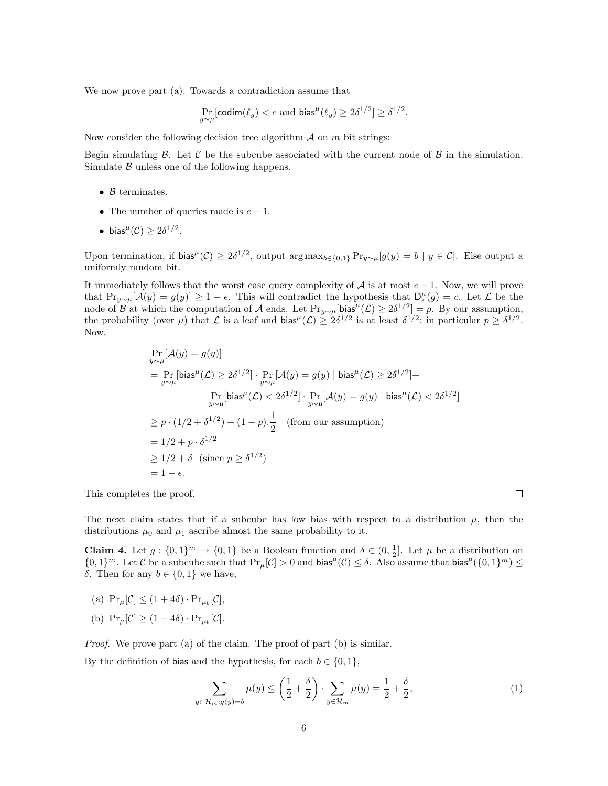We now prove part (a). Towards a contradiction assume that

$$
\Pr_{y \sim \mu}[\text{codim}(\ell_y) < c \text{ and bias}^{\mu}(\ell_y) \ge 2\delta^{1/2}] \ge \delta^{1/2}.
$$

Now consider the following decision tree algorithm  $A$  on  $m$  bit strings:

Begin simulating  $\beta$ . Let  $\beta$  be the subcube associated with the current node of  $\beta$  in the simulation. Simulate  $\beta$  unless one of the following happens.

- $\beta$  terminates.
- The number of queries made is  $c 1$ .
- bias<sup> $\mu$ </sup>(C)  $\geq 2\delta^{1/2}$ .

Upon termination, if bias<sup> $\mu$ </sup>(C)  $\geq 2\delta^{1/2}$ , output arg max<sub>b∈{0,1}</sub> Pr<sub>y∼ $\mu$ </sub>[g(y) = b | y ∈ C]. Else output a uniformly random bit.

It immediately follows that the worst case query complexity of A is at most  $c - 1$ . Now, we will prove that  $Pr_{y\sim\mu}[\mathcal{A}(y) = g(y)] \ge 1 - \epsilon$ . This will contradict the hypothesis that  $D_{\epsilon}^{\mu}(g) = c$ . Let  $\mathcal{L}$  be the node of B at which the computation of A ends. Let  $\Pr_{y \sim \mu}[\text{bias}^{\mu}(\mathcal{L}) \ge 2\delta^{1/2}] = p$ . By our assumption, the probability (over  $\mu$ ) that  $\mathcal L$  is a leaf and bias<sup> $\mu$ </sup>( $\mathcal L$ )  $\geq 2\delta^{1/2}$  is at least  $\delta^{1/2}$ ; in particular  $p \geq \delta^{1/2}$ . Now,

$$
\Pr_{y \sim \mu}[\mathcal{A}(y) = g(y)]
$$
\n
$$
= \Pr_{y \sim \mu}[\text{bias}^{\mu}(\mathcal{L}) \ge 2\delta^{1/2}] \cdot \Pr_{y \sim \mu}[\mathcal{A}(y) = g(y) | \text{bias}^{\mu}(\mathcal{L}) \ge 2\delta^{1/2}] +
$$
\n
$$
\Pr_{y \sim \mu}[\text{bias}^{\mu}(\mathcal{L}) < 2\delta^{1/2}] \cdot \Pr_{y \sim \mu}[\mathcal{A}(y) = g(y) | \text{bias}^{\mu}(\mathcal{L}) < 2\delta^{1/2}]
$$
\n
$$
\ge p \cdot (1/2 + \delta^{1/2}) + (1 - p) \cdot \frac{1}{2} \quad \text{(from our assumption)}
$$
\n
$$
= 1/2 + p \cdot \delta^{1/2}
$$
\n
$$
\ge 1/2 + \delta \quad \text{(since } p \ge \delta^{1/2}\text{)}
$$
\n
$$
= 1 - \epsilon.
$$

This completes the proof.

The next claim states that if a subcube has low bias with respect to a distribution  $\mu$ , then the distributions  $\mu_0$  and  $\mu_1$  ascribe almost the same probability to it.

<span id="page-5-0"></span>**Claim 4.** Let  $g: \{0,1\}^m \to \{0,1\}$  be a Boolean function and  $\delta \in (0,\frac{1}{2}]$ . Let  $\mu$  be a distribution on  $\{0,1\}^m$ . Let C be a subcube such that  $Pr_{\mu}[\mathcal{C}] > 0$  and bias<sup> $\mu(\mathcal{C}) \leq \delta$ . Also assume that bias<sup> $\mu(\{0,1\}^m) \leq$ </sup></sup> δ. Then for any  $b \in \{0, 1\}$  we have,

- (a)  $\Pr_{\mu}[\mathcal{C}] \leq (1+4\delta) \cdot \Pr_{\mu_b}[\mathcal{C}],$
- (b)  $\Pr_{\mu}[\mathcal{C}] \ge (1 4\delta) \cdot \Pr_{\mu_b}[\mathcal{C}].$

Proof. We prove part (a) of the claim. The proof of part (b) is similar.

By the definition of bias and the hypothesis, for each  $b \in \{0, 1\}$ ,

$$
\sum_{y \in \mathcal{H}_m: g(y) = b} \mu(y) \le \left(\frac{1}{2} + \frac{\delta}{2}\right) \cdot \sum_{y \in \mathcal{H}_m} \mu(y) = \frac{1}{2} + \frac{\delta}{2},\tag{1}
$$

<span id="page-5-1"></span> $\Box$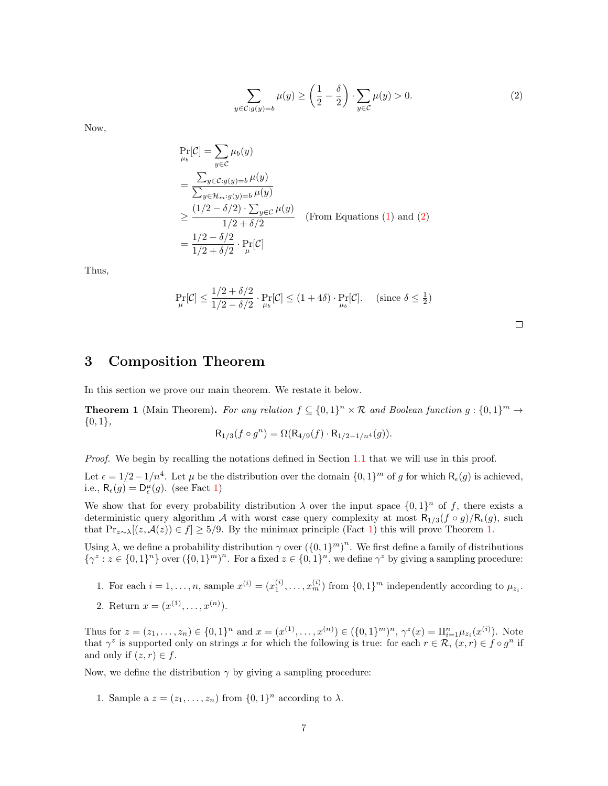<span id="page-6-1"></span>
$$
\sum_{y \in \mathcal{C}: g(y) = b} \mu(y) \ge \left(\frac{1}{2} - \frac{\delta}{2}\right) \cdot \sum_{y \in \mathcal{C}} \mu(y) > 0.
$$
 (2)

Now,

$$
\Pr_{\mu_b}[\mathcal{C}] = \sum_{y \in \mathcal{C}} \mu_b(y)
$$
\n
$$
= \frac{\sum_{y \in \mathcal{C}:g(y) = b} \mu(y)}{\sum_{y \in \mathcal{H}_m:g(y) = b} \mu(y)}
$$
\n
$$
\geq \frac{(1/2 - \delta/2) \cdot \sum_{y \in \mathcal{C}} \mu(y)}{1/2 + \delta/2} \quad \text{(From Equations (1) and (2))}
$$
\n
$$
= \frac{1/2 - \delta/2}{1/2 + \delta/2} \cdot \Pr_{\mu}[\mathcal{C}]
$$

Thus,

$$
\Pr_{\mu}[\mathcal{C}] \le \frac{1/2 + \delta/2}{1/2 - \delta/2} \cdot \Pr_{\mu_b}[\mathcal{C}] \le (1 + 4\delta) \cdot \Pr_{\mu_b}[\mathcal{C}]. \quad \text{(since } \delta \le \frac{1}{2})
$$

## <span id="page-6-0"></span>3 Composition Theorem

In this section we prove our main theorem. We restate it below.

**Theorem 1** (Main Theorem). For any relation  $f \subseteq \{0,1\}^n \times \mathcal{R}$  and Boolean function  $g: \{0,1\}^m \to$  $\{0,1\},\$ 

$$
R_{1/3}(f \circ g^n) = \Omega(R_{4/9}(f) \cdot R_{1/2 - 1/n^4}(g)).
$$

Proof. We begin by recalling the notations defined in Section [1.1](#page-1-2) that we will use in this proof. Let  $\epsilon = 1/2 - 1/n^4$ . Let  $\mu$  be the distribution over the domain  $\{0, 1\}^m$  of g for which  $\mathsf{R}_{\epsilon}(g)$  is achieved, i.e.,  $\mathsf{R}_{\epsilon}(g) = \mathsf{D}_{\epsilon}^{\mu}(g)$ . (see Fact [1\)](#page-3-1)

We show that for every probability distribution  $\lambda$  over the input space  $\{0,1\}^n$  of f, there exists a deterministic query algorithm A with worst case query complexity at most  $R_{1/3}(f \circ g)/R_{\epsilon}(g)$ , such that  $Pr_{z \sim \lambda}[(z, \mathcal{A}(z)) \in f] \ge 5/9$ . By the minimax principle (Fact [1\)](#page-3-1) this will prove Theorem [1.](#page-1-0)

Using  $\lambda$ , we define a probability distribution  $\gamma$  over  $({0,1})^m$ . We first define a family of distributions  $\{\gamma^z : z \in \{0,1\}^n\}$  over  $(\{0,1\}^m)^n$ . For a fixed  $z \in \{0,1\}^n$ , we define  $\gamma^z$  by giving a sampling procedure:

- 1. For each  $i = 1, ..., n$ , sample  $x^{(i)} = (x_1^{(i)}, ..., x_m^{(i)})$  from  $\{0, 1\}^m$  independently according to  $\mu_{z_i}$ .
- 2. Return  $x = (x^{(1)}, \ldots, x^{(n)})$ .

Thus for  $z = (z_1, \ldots, z_n) \in \{0, 1\}^n$  and  $x = (x^{(1)}, \ldots, x^{(n)}) \in (\{0, 1\}^m)^n$ ,  $\gamma^z(x) = \prod_{i=1}^n \mu_{z_i}(x^{(i)})$ . Note that  $\gamma^z$  is supported only on strings x for which the following is true: for each  $r \in \mathcal{R}$ ,  $(x,r) \in f \circ g^n$  if and only if  $(z, r) \in f$ .

Now, we define the distribution  $\gamma$  by giving a sampling procedure:

1. Sample a  $z = (z_1, \ldots, z_n)$  from  $\{0, 1\}^n$  according to  $\lambda$ .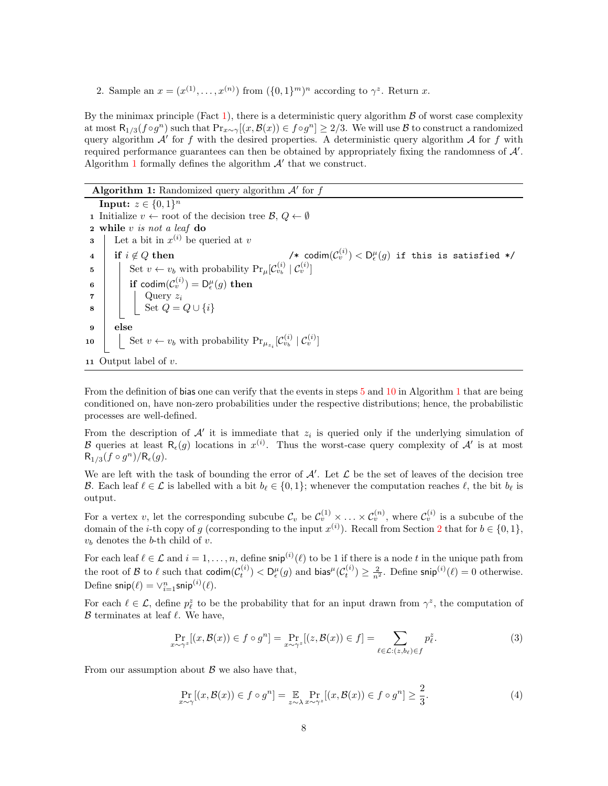2. Sample an  $x = (x^{(1)}, \ldots, x^{(n)})$  from  $(\{0,1\}^m)^n$  according to  $\gamma^z$ . Return x.

By the minimax principle (Fact [1\)](#page-3-1), there is a deterministic query algorithm  $\beta$  of worst case complexity at most  $R_{1/3}(f \circ g^n)$  such that  $\Pr_{x \sim \gamma}[(x, \mathcal{B}(x)) \in f \circ g^n] \ge 2/3$ . We will use  $\mathcal B$  to construct a randomized query algorithm  $A'$  for f with the desired properties. A deterministic query algorithm  $A$  for f with required performance guarantees can then be obtained by appropriately fixing the randomness of  $\mathcal{A}'$ . Algorithm [1](#page-7-0) formally defines the algorithm  $A'$  that we construct.

<span id="page-7-0"></span>Algorithm 1: Randomized query algorithm  $A'$  for  $f$ 

<span id="page-7-1"></span>Input:  $z \in \{0,1\}^n$ 1 Initialize  $v \leftarrow \text{root of the decision tree } \mathcal{B}, Q \leftarrow \emptyset$ 2 while v is not a leaf do **3** Let a bit in  $x^{(i)}$  be queried at v 4 if  $i \notin Q$  then /\* codim(C  $\mathcal{D}_{v}^{(i)})<\mathsf{D}_{\epsilon}^{\mu}(g)$  if this is satisfied \*/ 5 Set  $v \leftarrow v_b$  with probability  $Pr_{\mu}[\mathcal{C}_{v_b}^{(i)} | \mathcal{C}_{v}^{(i)}]$ <sup>6</sup> if codim(C (i) <sup>v</sup> ) = D µ (g) then  $\mathbf{z}$  | | Query  $z_i$ 8  $\vert$  Set  $Q = Q \cup \{i\}$ 9 else 10  $\Big|$  Set  $v \leftarrow v_b$  with probability  $Pr_{\mu_{z_i}}[C_{v_b}^{(i)} | C_v^{(i)}]$ 11 Output label of  $v$ .

<span id="page-7-2"></span>From the definition of bias one can verify that the events in steps [5](#page-7-1) and [10](#page-7-2) in Algorithm [1](#page-7-0) that are being conditioned on, have non-zero probabilities under the respective distributions; hence, the probabilistic processes are well-defined.

From the description of  $A'$  it is immediate that  $z_i$  is queried only if the underlying simulation of B queries at least  $R_{\epsilon}(g)$  locations in  $x^{(i)}$ . Thus the worst-case query complexity of  $\mathcal{A}'$  is at most  $R_{1/3}(f \circ g^n)/R_{\epsilon}(g).$ 

We are left with the task of bounding the error of  $A'$ . Let  $\mathcal L$  be the set of leaves of the decision tree B. Each leaf  $\ell \in \mathcal{L}$  is labelled with a bit  $b_{\ell} \in \{0, 1\}$ ; whenever the computation reaches  $\ell$ , the bit  $b_{\ell}$  is output.

For a vertex v, let the corresponding subcube  $\mathcal{C}_v$  be  $\mathcal{C}_v^{(1)} \times \ldots \times \mathcal{C}_v^{(n)}$ , where  $\mathcal{C}_v^{(i)}$  is a subcube of the domain of the *i*-th copy of g (corresponding to the input  $x^{(i)}$ ). Recall from Section [2](#page-3-0) that for  $b \in \{0,1\}$ ,  $v_b$  denotes the b-th child of v.

For each leaf  $\ell \in \mathcal{L}$  and  $i = 1, \ldots, n$ , define  $\mathsf{snip}^{(i)}(\ell)$  to be 1 if there is a node t in the unique path from the root of B to  $\ell$  such that  $\text{codim}(\mathcal{C}_{t}^{(i)}) < D_{\epsilon}^{\mu}(g)$  and  $\text{bias}^{\mu}(\mathcal{C}_{t}^{(i)}) \geq \frac{2}{n^2}$ . Define  $\text{snip}^{(i)}(\ell) = 0$  otherwise. Define snip $(\ell) = \vee_{i=1}^{n}$ snip $^{(i)}(\ell)$ .

For each  $\ell \in \mathcal{L}$ , define  $p_{\ell}^z$  to be the probability that for an input drawn from  $\gamma^z$ , the computation of  $\beta$  terminates at leaf  $\ell$ . We have,

$$
\Pr_{x \sim \gamma^z} [(x, \mathcal{B}(x)) \in f \circ g^n] = \Pr_{x \sim \gamma^z} [(z, \mathcal{B}(x)) \in f] = \sum_{\ell \in \mathcal{L}: (z, b_\ell) \in f} p_\ell^z.
$$
\n(3)

From our assumption about  $\beta$  we also have that,

<span id="page-7-4"></span><span id="page-7-3"></span>
$$
\Pr_{x \sim \gamma}[(x, \mathcal{B}(x)) \in f \circ g^n] = \mathop{\mathbb{E}}_{z \sim \lambda} \Pr_{x \sim \gamma^z}[(x, \mathcal{B}(x)) \in f \circ g^n] \ge \frac{2}{3}.
$$
 (4)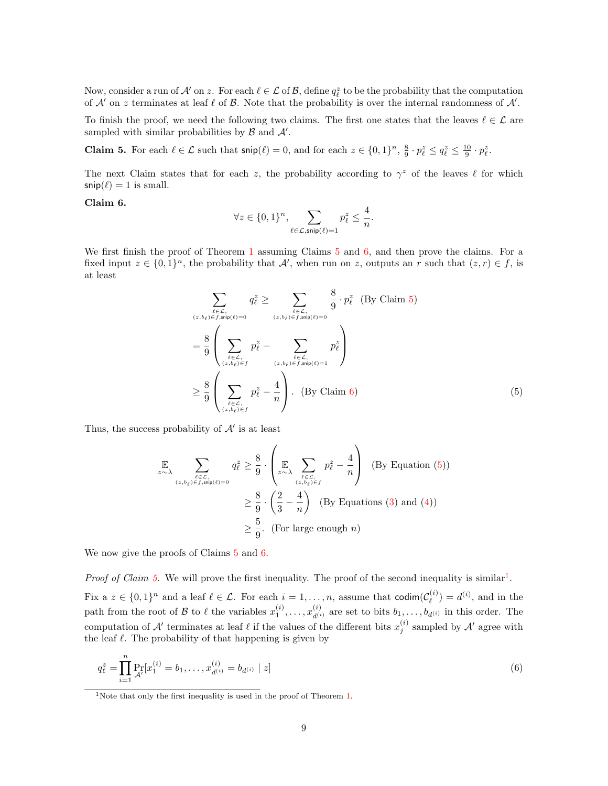Now, consider a run of  $\mathcal{A}'$  on z. For each  $\ell \in \mathcal{L}$  of  $\mathcal{B}$ , define  $q_{\ell}^z$  to be the probability that the computation of  $A'$  on z terminates at leaf  $\ell$  of  $B$ . Note that the probability is over the internal randomness of  $A'$ .

To finish the proof, we need the following two claims. The first one states that the leaves  $\ell \in \mathcal{L}$  are sampled with similar probabilities by  $\beta$  and  $\mathcal{A}'$ .

<span id="page-8-0"></span>**Claim 5.** For each  $\ell \in \mathcal{L}$  such that  $\textsf{snip}(\ell) = 0$ , and for each  $z \in \{0, 1\}^n$ ,  $\frac{8}{9} \cdot p_{\ell}^z \le q_{\ell}^z \le \frac{10}{9} \cdot p_{\ell}^z$ .

The next Claim states that for each z, the probability according to  $\gamma^z$  of the leaves  $\ell$  for which  $\mathsf{snip}(\ell) = 1$  is small.

#### <span id="page-8-1"></span>Claim 6.

<span id="page-8-2"></span>
$$
\forall z \in \{0,1\}^n, \sum_{\ell \in \mathcal{L}, \mathsf{snip}(\ell)=1} p_{\ell}^z \le \frac{4}{n}.
$$

We first finish the proof of Theorem [1](#page-1-0) assuming Claims [5](#page-8-0) and [6,](#page-8-1) and then prove the claims. For a fixed input  $z \in \{0,1\}^n$ , the probability that A', when run on z, outputs an r such that  $(z, r) \in f$ , is at least

$$
\sum_{\substack{\ell \in \mathcal{L}, \\ (z,b_{\ell}) \in f, \text{snip}(\ell) = 0}} q_{\ell}^{z} \ge \sum_{\substack{\ell \in \mathcal{L}, \\ (z,b_{\ell}) \in f, \text{snip}(\ell) = 0}} \frac{8}{9} \cdot p_{\ell}^{z} \quad \text{(By Claim 5)}
$$
\n
$$
= \frac{8}{9} \left( \sum_{\substack{\ell \in \mathcal{L}, \\ (z,b_{\ell}) \in f}} p_{\ell}^{z} - \sum_{\substack{\ell \in \mathcal{L}, \\ (z,b_{\ell}) \in f, \text{snip}(\ell) = 1}} p_{\ell}^{z} \right)
$$
\n
$$
\ge \frac{8}{9} \left( \sum_{\substack{\ell \in \mathcal{L}, \\ (z,b_{\ell}) \in f}} p_{\ell}^{z} - \frac{4}{n} \right). \quad \text{(By Claim 6)}
$$
\n
$$
(5)
$$

Thus, the success probability of  $A'$  is at least

$$
\mathbb{E}\n\sum_{\substack{\ell \in \mathcal{L}, \\
(z, b_{\ell}) \in f, \text{snip}(\ell) = 0}} q_{\ell}^{z} \geq \frac{8}{9} \cdot \left( \mathbb{E}\n\sum_{\substack{\ell \in \mathcal{L}, \\
(z, b_{\ell}) \in f}} p_{\ell}^{z} - \frac{4}{n} \right) \quad \text{(By Equation (5))}
$$
\n
$$
\geq \frac{8}{9} \cdot \left( \frac{2}{3} - \frac{4}{n} \right) \quad \text{(By Equations (3) and (4))}
$$
\n
$$
\geq \frac{5}{9}. \quad \text{(For large enough } n\text{)}
$$

We now give the proofs of Claims [5](#page-8-0) and [6.](#page-8-1)

*Proof of Claim [5.](#page-8-0)* We will prove the first inequality. The proof of the second inequality is similar<sup>[1](#page-8-3)</sup>.

Fix a  $z \in \{0,1\}^n$  and a leaf  $\ell \in \mathcal{L}$ . For each  $i = 1, \ldots, n$ , assume that codim $(\mathcal{C}_{\ell}^{(i)})$  $\binom{1}{\ell} = d^{(i)}$ , and in the path from the root of B to  $\ell$  the variables  $x_1^{(i)}, \ldots, x_{d^{(i)}}^{(i)}$  are set to bits  $b_1, \ldots, b_{d^{(i)}}$  in this order. The computation of A' terminates at leaf  $\ell$  if the values of the different bits  $x_j^{(i)}$  sampled by A' agree with the leaf  $\ell$ . The probability of that happening is given by

$$
q_{\ell}^{z} = \prod_{i=1}^{n} \Pr_{\mathcal{A}'}[x_{1}^{(i)} = b_{1}, \dots, x_{d^{(i)}}^{(i)} = b_{d^{(i)}} \mid z]
$$
\n(6)

<span id="page-8-3"></span><sup>&</sup>lt;sup>1</sup>Note that only the first inequality is used in the proof of Theorem [1.](#page-1-0)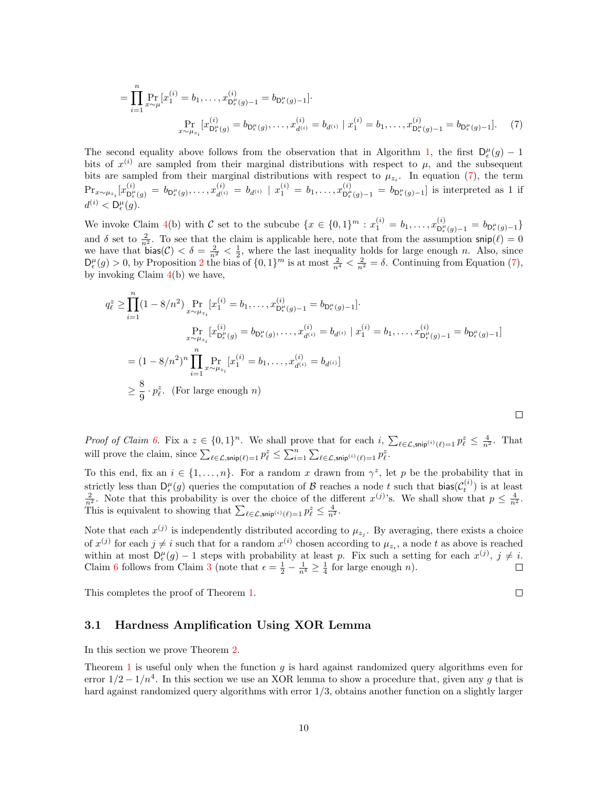$$
= \prod_{i=1}^{n} \Pr_{x \sim \mu}[x_1^{(i)} = b_1, \dots, x_{D_{\epsilon}(g)-1}^{(i)} = b_{D_{\epsilon}(g)-1}].
$$
  

$$
\Pr_{x \sim \mu_{z_i}}[x_{D_{\epsilon}(g)}^{(i)} = b_{D_{\epsilon}(g)}, \dots, x_{d^{(i)}}^{(i)} = b_{d^{(i)}} \mid x_1^{(i)} = b_1, \dots, x_{D_{\epsilon}(g)-1}^{(i)} = b_{D_{\epsilon}(g)-1}].
$$
 (7)

The second equality above follows from the observation that in Algorithm [1,](#page-7-0) the first  $D_{\epsilon}^{\mu}(g) - 1$ bits of  $x^{(i)}$  are sampled from their marginal distributions with respect to  $\mu$ , and the subsequent bits are sampled from their marginal distributions with respect to  $\mu_{z_i}$ . In equation [\(7\)](#page-9-1), the term  $\mathrm{Pr}_{x \sim \mu_{z_i}}[x_{\mathsf{D}_{\epsilon}^{\mu}}^{(i)}]$  $\mathbb{D}^{(i)}_{\epsilon}(g) \ = \ b_{\mathsf{D}_{\epsilon}^{\mu}(g)}, \ldots, x_{d^{(i)}}^{(i)} \ = \ b_{d^{(i)}} \ \ | \ \ x_{1}^{(i)} \ = \ b_{1}, \ldots, x_{\mathsf{D}_{\epsilon}^{\mu}}^{(i)}$  $b_{\epsilon(g)-1}^{(i)} = b_{\mathsf{D}_{\epsilon}(g)-1}$  is interpreted as 1 if  $d^{(i)} < \mathsf{D}_{\epsilon}^{\mu}(g)$ .

We invoke Claim [4\(](#page-5-0)b) with C set to the subcube  $\{x \in \{0,1\}^m : x_1^{(i)} = b_1, \ldots, x_{D_\epsilon}^{(i)}\}$  $\frac{d^{(i)}}{\mathsf{D}_{\epsilon}^{\mu}(g)-1} = b_{\mathsf{D}_{\epsilon}^{\mu}(g)-1}$ and  $\delta$  set to  $\frac{2}{n^2}$ . To see that the claim is applicable here, note that from the assumption  $\sin(\ell) = 0$ we have that  $bias(\mathcal{C}) < \delta = \frac{2}{n^2} < \frac{1}{2}$ , where the last inequality holds for large enough n. Also, since  $D_{\epsilon}^{\mu}(g) > 0$ , by Proposition [2](#page-4-1) the bias of  $\{0,1\}^{m}$  is at most  $\frac{2}{n^{4}} < \frac{2}{n^{2}} = \delta$ . Continuing from Equation [\(7\)](#page-9-1), by invoking Claim  $4(b)$  $4(b)$  we have,

$$
q_{\ell}^{z} \geq \prod_{i=1}^{n} (1 - 8/n^{2}) \Pr_{x \sim \mu_{z_{i}}} [x_{1}^{(i)} = b_{1}, \dots, x_{D_{\epsilon}^{\mu}(g)-1}^{(i)} = b_{D_{\epsilon}^{\mu}(g)-1}].
$$
  
\n
$$
\Pr_{x \sim \mu_{z_{i}}} [x_{D_{\epsilon}^{\mu}(g)}^{(i)} = b_{D_{\epsilon}^{\mu}(g)}, \dots, x_{d^{(i)}}^{(i)} = b_{d^{(i)}} | x_{1}^{(i)} = b_{1}, \dots, x_{D_{\epsilon}^{\mu}(g)-1}^{(i)} = b_{D_{\epsilon}^{\mu}(g)-1}]
$$
  
\n
$$
= (1 - 8/n^{2})^{n} \prod_{i=1}^{n} \Pr_{x \sim \mu_{z_{i}}} [x_{1}^{(i)} = b_{1}, \dots, x_{d^{(i)}}^{(i)} = b_{d^{(i)}}]
$$
  
\n
$$
\geq \frac{8}{9} \cdot p_{\ell}^{z}.
$$
 (For large enough *n*)

Proof of Claim [6.](#page-8-1) Fix a  $z \in \{0,1\}^n$ . We shall prove that for each  $i$ ,  $\sum_{\ell \in \mathcal{L}, \mathsf{snip}(i)} \ell_{\ell=1} p_{\ell}^z \leq \frac{4}{n^2}$ . That will prove the claim, since  $\sum_{\ell \in \mathcal{L}, \mathsf{snip}(\ell)=1} p_{\ell}^z \leq \sum_{i=1}^n \sum_{\ell \in \mathcal{L}, \mathsf{snip}^{(i)}(\ell)=1} p_{\ell}^z$ .

To this end, fix an  $i \in \{1, ..., n\}$ . For a random x drawn from  $\gamma^z$ , let p be the probability that in strictly less than  $D_{\epsilon}^{\mu}(g)$  queries the computation of  $\beta$  reaches a node t such that  $\text{bias}(\mathcal{C}_{t}^{(i)})$  is at least  $\frac{2}{n^2}$ . Note that this probability is over the choice of the different  $x^{(j)}$ 's. We shall s This is equivalent to showing that  $\sum_{\ell \in \mathcal{L}, \mathsf{snip}^{(i)}(\ell)=1} p_{\ell}^z \leq \frac{4}{n^2}$ .

Note that each  $x^{(j)}$  is independently distributed according to  $\mu_{z_j}$ . By averaging, there exists a choice of  $x^{(j)}$  for each  $j \neq i$  such that for a random  $x^{(i)}$  chosen according to  $\mu_{z_i}$ , a node t as above is reached within at most  $D_{\epsilon}^{\mu}(g) - 1$  steps with probability at least p. Fix such a setting for each  $x^{(j)}$ ,  $j \neq i$ . Claim [6](#page-8-1) follows from Claim [3](#page-4-0) (note that  $\epsilon = \frac{1}{2} - \frac{1}{n^4} \geq \frac{1}{4}$  for large enough *n*).

This completes the proof of Theorem [1.](#page-1-0)

### <span id="page-9-0"></span>3.1 Hardness Amplification Using XOR Lemma

In this section we prove Theorem [2.](#page-1-1)

Theorem [1](#page-1-0) is useful only when the function  $q$  is hard against randomized query algorithms even for error  $1/2 - 1/n^4$ . In this section we use an XOR lemma to show a procedure that, given any g that is hard against randomized query algorithms with error 1/3, obtains another function on a slightly larger

 $\Box$ 

<span id="page-9-1"></span> $\Box$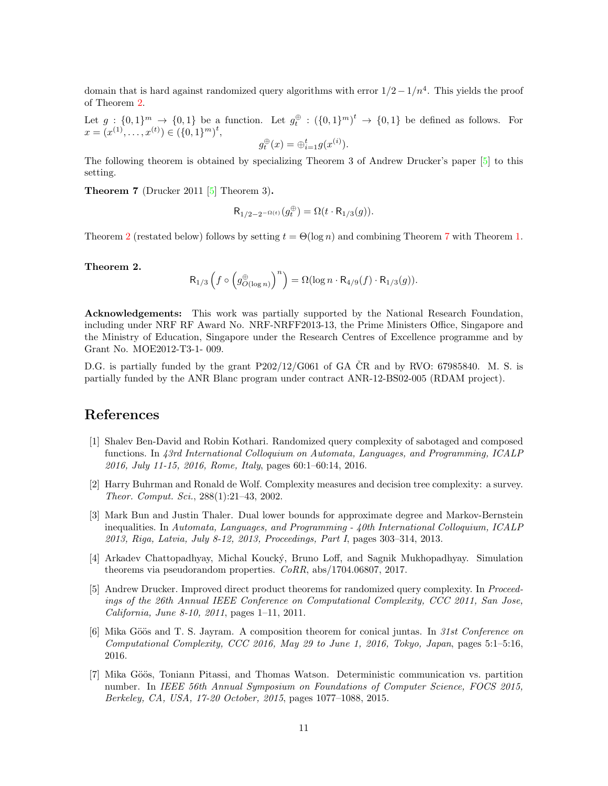domain that is hard against randomized query algorithms with error  $1/2-1/n^4$ . This yields the proof of Theorem [2.](#page-1-1)

Let  $g: \{0,1\}^m \to \{0,1\}$  be a function. Let  $g_t^{\oplus}: (\{0,1\}^m)^t \to \{0,1\}$  be defined as follows. For  $x = (x^{(1)}, \ldots, x^{(t)}) \in (\{0, 1\}^m)^t,$ 

$$
g_t^{\oplus}(x) = \oplus_{i=1}^t g(x^{(i)}).
$$

The following theorem is obtained by specializing Theorem 3 of Andrew Drucker's paper [\[5\]](#page-10-0) to this setting.

<span id="page-10-7"></span>**Theorem 7** (Drucker 2011 [\[5\]](#page-10-0) Theorem 3).

$$
\mathsf{R}_{1/2-2^{-\Omega(t)}}(g^\oplus_t) = \Omega(t \cdot \mathsf{R}_{1/3}(g)).
$$

Theorem [2](#page-1-1) (restated below) follows by setting  $t = \Theta(\log n)$  and combining Theorem [7](#page-10-7) with Theorem [1.](#page-1-0)

Theorem 2.

$$
\mathsf{R}_{1/3}\left( f \circ \left( g_{O(\log n)}^{\oplus} \right)^n \right) = \Omega(\log n \cdot \mathsf{R}_{4/9}(f) \cdot \mathsf{R}_{1/3}(g)).
$$

Acknowledgements: This work was partially supported by the National Research Foundation, including under NRF RF Award No. NRF-NRFF2013-13, the Prime Ministers Office, Singapore and the Ministry of Education, Singapore under the Research Centres of Excellence programme and by Grant No. MOE2012-T3-1- 009.

D.G. is partially funded by the grant  $P202/12/G061$  of GA CR and by RVO: 67985840. M. S. is partially funded by the ANR Blanc program under contract ANR-12-BS02-005 (RDAM project).

### References

- <span id="page-10-5"></span>[1] Shalev Ben-David and Robin Kothari. Randomized query complexity of sabotaged and composed functions. In 43rd International Colloquium on Automata, Languages, and Programming, ICALP 2016, July 11-15, 2016, Rome, Italy, pages 60:1–60:14, 2016.
- <span id="page-10-6"></span>[2] Harry Buhrman and Ronald de Wolf. Complexity measures and decision tree complexity: a survey. Theor. Comput. Sci., 288(1):21–43, 2002.
- <span id="page-10-2"></span>[3] Mark Bun and Justin Thaler. Dual lower bounds for approximate degree and Markov-Bernstein inequalities. In Automata, Languages, and Programming - 40th International Colloquium, ICALP 2013, Riga, Latvia, July 8-12, 2013, Proceedings, Part I, pages 303–314, 2013.
- <span id="page-10-4"></span>[4] Arkadev Chattopadhyay, Michal Kouck´y, Bruno Loff, and Sagnik Mukhopadhyay. Simulation theorems via pseudorandom properties. CoRR, abs/1704.06807, 2017.
- <span id="page-10-0"></span>[5] Andrew Drucker. Improved direct product theorems for randomized query complexity. In Proceedings of the 26th Annual IEEE Conference on Computational Complexity, CCC 2011, San Jose, California, June 8-10, 2011, pages 1–11, 2011.
- <span id="page-10-1"></span>[6] Mika Göös and T. S. Jayram. A composition theorem for conical juntas. In 31st Conference on Computational Complexity, CCC 2016, May 29 to June 1, 2016, Tokyo, Japan, pages 5:1–5:16, 2016.
- <span id="page-10-3"></span>[7] Mika Göös, Toniann Pitassi, and Thomas Watson. Deterministic communication vs. partition number. In IEEE 56th Annual Symposium on Foundations of Computer Science, FOCS 2015, Berkeley, CA, USA, 17-20 October, 2015, pages 1077–1088, 2015.